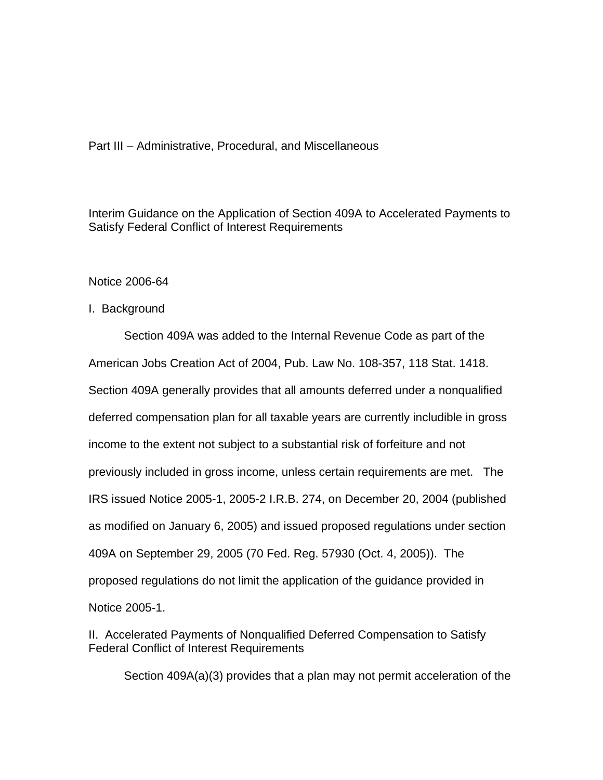## Part III – Administrative, Procedural, and Miscellaneous

Interim Guidance on the Application of Section 409A to Accelerated Payments to Satisfy Federal Conflict of Interest Requirements

Notice 2006-64

## I. Background

Section 409A was added to the Internal Revenue Code as part of the American Jobs Creation Act of 2004, Pub. Law No. 108-357, 118 Stat. 1418. Section 409A generally provides that all amounts deferred under a nonqualified deferred compensation plan for all taxable years are currently includible in gross income to the extent not subject to a substantial risk of forfeiture and not previously included in gross income, unless certain requirements are met. The IRS issued Notice 2005-1, 2005-2 I.R.B. 274, on December 20, 2004 (published as modified on January 6, 2005) and issued proposed regulations under section 409A on September 29, 2005 (70 Fed. Reg. 57930 (Oct. 4, 2005)). The proposed regulations do not limit the application of the guidance provided in Notice 2005-1.

II. Accelerated Payments of Nonqualified Deferred Compensation to Satisfy Federal Conflict of Interest Requirements

Section 409A(a)(3) provides that a plan may not permit acceleration of the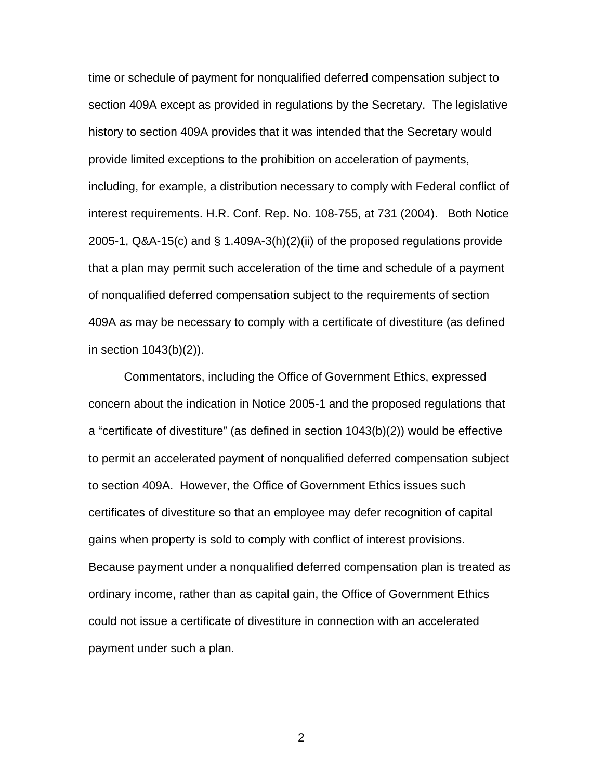time or schedule of payment for nonqualified deferred compensation subject to section 409A except as provided in regulations by the Secretary. The legislative history to section 409A provides that it was intended that the Secretary would provide limited exceptions to the prohibition on acceleration of payments, including, for example, a distribution necessary to comply with Federal conflict of interest requirements. H.R. Conf. Rep. No. 108-755, at 731 (2004). Both Notice 2005-1, Q&A-15(c) and § 1.409A-3(h)(2)(ii) of the proposed regulations provide that a plan may permit such acceleration of the time and schedule of a payment of nonqualified deferred compensation subject to the requirements of section 409A as may be necessary to comply with a certificate of divestiture (as defined in section 1043(b)(2)).

Commentators, including the Office of Government Ethics, expressed concern about the indication in Notice 2005-1 and the proposed regulations that a "certificate of divestiture" (as defined in section 1043(b)(2)) would be effective to permit an accelerated payment of nonqualified deferred compensation subject to section 409A. However, the Office of Government Ethics issues such certificates of divestiture so that an employee may defer recognition of capital gains when property is sold to comply with conflict of interest provisions. Because payment under a nonqualified deferred compensation plan is treated as ordinary income, rather than as capital gain, the Office of Government Ethics could not issue a certificate of divestiture in connection with an accelerated payment under such a plan.

2